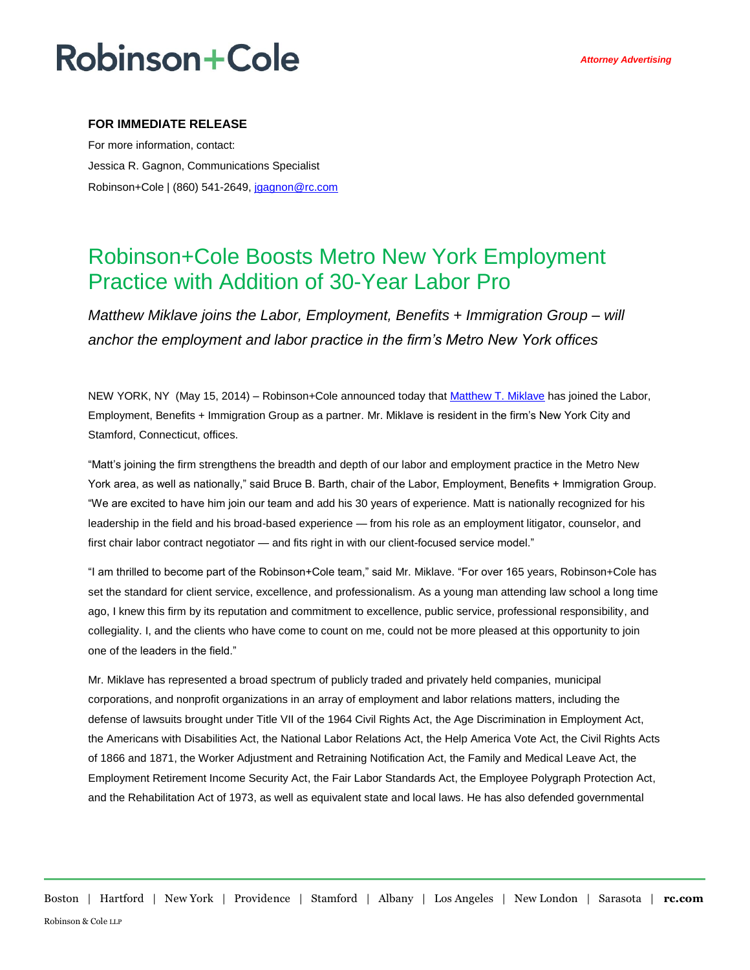## **Robinson+Cole**

### **FOR IMMEDIATE RELEASE**

For more information, contact: Jessica R. Gagnon, Communications Specialist Robinson+Cole | (860) 541-2649[, jgagnon@rc.com](mailto:jgagnon@rc.com)

## Robinson+Cole Boosts Metro New York Employment Practice with Addition of 30-Year Labor Pro

*Matthew Miklave joins the Labor, Employment, Benefits + Immigration Group – will anchor the employment and labor practice in the firm's Metro New York offices*

NEW YORK, NY (May 15, 2014) – Robinson+Cole announced today that [Matthew T. Miklave](http://www.rc.com/people/MatthewTMiklave.cfm) has joined the Labor, Employment, Benefits + Immigration Group as a partner. Mr. Miklave is resident in the firm's New York City and Stamford, Connecticut, offices.

"Matt's joining the firm strengthens the breadth and depth of our labor and employment practice in the Metro New York area, as well as nationally," said Bruce B. Barth, chair of the Labor, Employment, Benefits + Immigration Group. "We are excited to have him join our team and add his 30 years of experience. Matt is nationally recognized for his leadership in the field and his broad-based experience — from his role as an employment litigator, counselor, and first chair labor contract negotiator — and fits right in with our client-focused service model."

"I am thrilled to become part of the Robinson+Cole team," said Mr. Miklave. "For over 165 years, Robinson+Cole has set the standard for client service, excellence, and professionalism. As a young man attending law school a long time ago, I knew this firm by its reputation and commitment to excellence, public service, professional responsibility, and collegiality. I, and the clients who have come to count on me, could not be more pleased at this opportunity to join one of the leaders in the field."

Mr. Miklave has represented a broad spectrum of publicly traded and privately held companies, municipal corporations, and nonprofit organizations in an array of employment and labor relations matters, including the defense of lawsuits brought under Title VII of the 1964 Civil Rights Act, the Age Discrimination in Employment Act, the Americans with Disabilities Act, the National Labor Relations Act, the Help America Vote Act, the Civil Rights Acts of 1866 and 1871, the Worker Adjustment and Retraining Notification Act, the Family and Medical Leave Act, the Employment Retirement Income Security Act, the Fair Labor Standards Act, the Employee Polygraph Protection Act, and the Rehabilitation Act of 1973, as well as equivalent state and local laws. He has also defended governmental